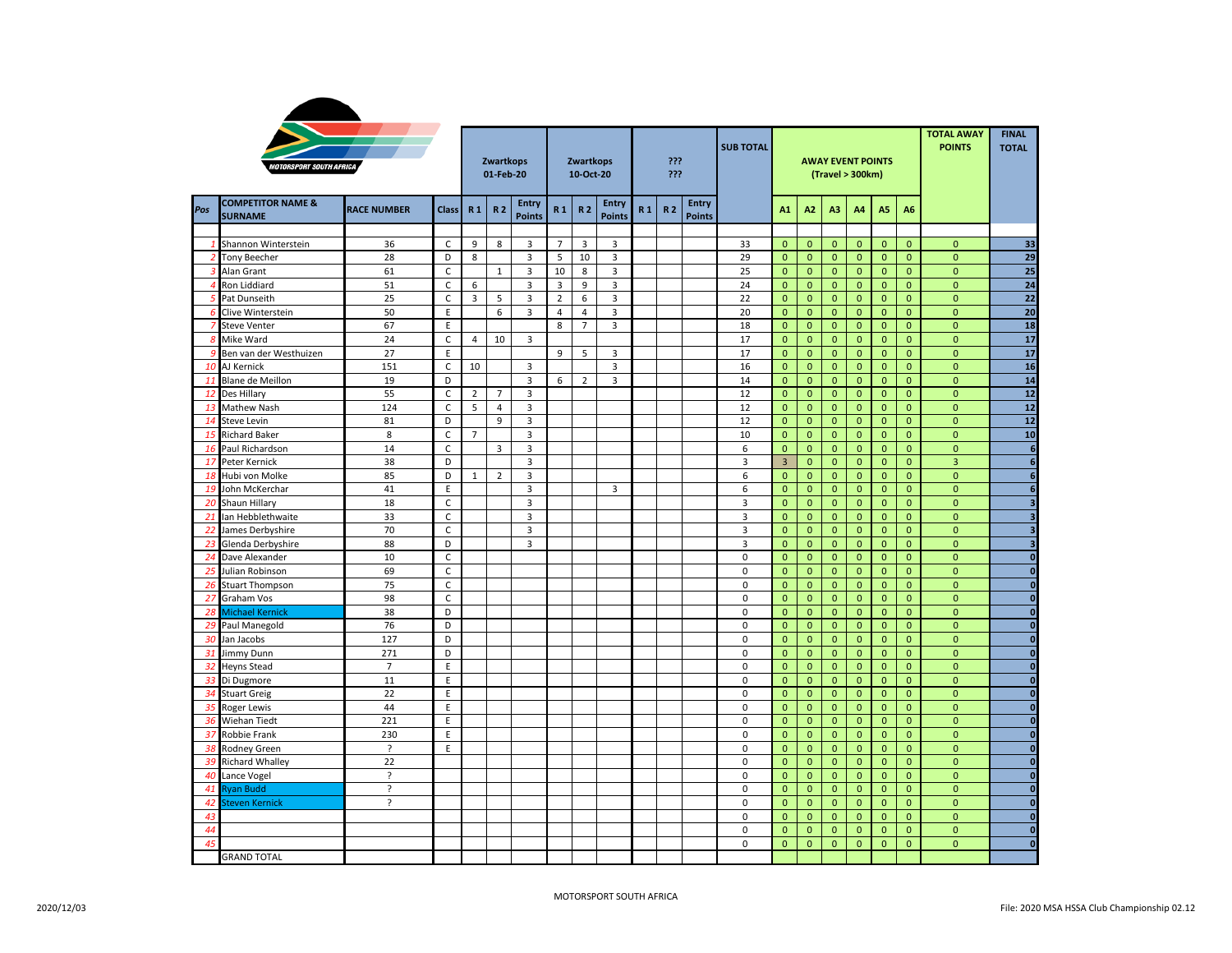|                  | <b>IOTORSPORT SOUTH AFRICA</b>                 |                    | Zwartkops<br>01-Feb-20 |                |                | Zwartkops<br>10-Oct-20        |                                  |                     | ???<br>???             |                | <b>SUB TOTAL</b> |                        |                     |                              | <b>AWAY EVENT POINTS</b><br>(Travel > 300km) | <b>TOTAL AWAY</b><br><b>POINTS</b> | <b>FINAL</b><br><b>TOTAL</b> |                             |                              |                                |                         |
|------------------|------------------------------------------------|--------------------|------------------------|----------------|----------------|-------------------------------|----------------------------------|---------------------|------------------------|----------------|------------------|------------------------|---------------------|------------------------------|----------------------------------------------|------------------------------------|------------------------------|-----------------------------|------------------------------|--------------------------------|-------------------------|
| Pos              | <b>COMPETITOR NAME &amp;</b><br><b>SURNAME</b> | <b>RACE NUMBER</b> | <b>Class</b>           | R <sub>1</sub> | R <sub>2</sub> | <b>Entry</b><br><b>Points</b> | R <sub>1</sub>                   | R <sub>2</sub>      | Entry<br><b>Points</b> | R <sub>1</sub> | <b>R2</b>        | Entry<br><b>Points</b> |                     | A1                           | A <sub>2</sub>                               | A3                                 | A4                           | A5                          | A <sub>6</sub>               |                                |                         |
|                  |                                                |                    |                        |                |                |                               |                                  |                     |                        |                |                  |                        |                     |                              |                                              |                                    |                              |                             |                              |                                |                         |
| $\mathbf{1}$     | Shannon Winterstein                            | 36                 | $\mathsf C$            | 9              | 8              | 3                             | $\overline{7}$                   | 3                   | 3                      |                |                  |                        | 33                  | $\mathbf{0}$                 | $\mathbf{0}$                                 | $\mathbf{0}$                       | $\mathbf{0}$                 | $\mathbf{0}$                | $\mathbf{0}$                 | $\mathbf{0}$                   | 33                      |
| $\overline{2}$   | <b>Tony Beecher</b>                            | 28                 | D                      | 8              |                | 3                             | 5                                | 10                  | 3                      |                |                  |                        | 29                  | $\mathbf{0}$                 | $\mathbf{0}$                                 | $\mathbf{0}$                       | $\mathbf{0}$                 | $\mathbf{0}$                | $\mathbf{0}$                 | $\mathbf 0$                    | 29                      |
| 3                | Alan Grant                                     | 61                 | $\mathsf{C}$           |                | $\mathbf{1}$   | 3                             | 10                               | 8                   | 3                      |                |                  |                        | 25                  | $\mathbf{0}$                 | $\mathbf{0}$                                 | $\mathbf{0}$                       | $\mathbf{0}$                 | $\mathbf{0}$                | $\mathbf{0}$                 | $\mathbf 0$                    | 25                      |
| $\overline{4}$   | Ron Liddiard                                   | 51                 | $\mathsf C$            | 6              |                | 3                             | $\mathbf{3}$                     | 9                   | 3                      |                |                  |                        | 24                  | $\mathbf{0}$                 | $\pmb{0}$                                    | $\pmb{0}$                          | $\mathbf 0$                  | $\pmb{0}$                   | $\mathbf 0$                  | $\pmb{\mathsf{O}}$             | 24                      |
| $5^{\circ}$<br>6 | Pat Dunseith                                   | 25                 | $\mathsf C$<br>E.      | 3              | 5<br>6         | 3                             | $\overline{2}$<br>$\overline{4}$ | 6<br>$\overline{4}$ | 3                      |                |                  |                        | 22                  | $\mathbf{0}$<br>$\mathbf{0}$ | $\pmb{0}$<br>$\mathbf{0}$                    | $\pmb{0}$<br>$\mathbf{0}$          | $\mathbf 0$                  | $\mathbf 0$<br>$\mathbf{0}$ | $\mathbf{0}$<br>$\mathbf{0}$ | $\overline{0}$<br>$\mathbf{0}$ | 22<br>20                |
| 7                | Clive Winterstein<br><b>Steve Venter</b>       | 50<br>67           | E                      |                |                | 3                             | 8                                | $\overline{7}$      | 3<br>3                 |                |                  |                        | 20<br>18            | $\mathbf{0}$                 | $\mathbf{0}$                                 | $\mathbf 0$                        | $\mathbf{0}$<br>$\mathbf{0}$ | $\mathbf{0}$                | $\mathbf{0}$                 | $\mathbf{0}$                   | 18                      |
| $\mathcal{S}$    |                                                |                    | $\mathsf C$            |                | 10             |                               |                                  |                     |                        |                |                  |                        | 17                  | $\mathbf{0}$                 |                                              |                                    |                              |                             | $\mathbf{0}$                 | $\mathbf 0$                    | 17                      |
| -9               | Mike Ward                                      | 24<br>27           | E                      | 4              |                | 3                             | 9                                | 5                   | 3                      |                |                  |                        | 17                  | $\mathbf{0}$                 | $\mathbf 0$<br>$\mathbf{0}$                  | $\mathbf 0$<br>$\mathbf{0}$        | $\mathbf 0$<br>$\mathbf{0}$  | $\mathbf 0$<br>$\mathbf{0}$ | $\mathbf{0}$                 | $\mathbf 0$                    | 17                      |
| 10               | Ben van der Westhuizen<br>AJ Kernick           | 151                | $\mathsf C$            | 10             |                | 3                             |                                  |                     | $\overline{3}$         |                |                  |                        | 16                  | $\mathbf{0}$                 | $\pmb{0}$                                    | $\mathbf 0$                        | $\mathbf{0}$                 | $\mathbf 0$                 | $\mathbf{0}$                 | $\mathbf 0$                    | 16                      |
| 11               | Blane de Meillon                               | 19                 | D                      |                |                | 3                             | 6                                | $\overline{2}$      | 3                      |                |                  |                        | 14                  | $\mathbf{0}$                 | $\pmb{0}$                                    | $\pmb{0}$                          | $\mathbf 0$                  | $\mathbf 0$                 | $\mathbf{0}$                 | $\mathbf 0$                    | 14                      |
| 12               | Des Hillary                                    | 55                 | $\mathsf{C}$           | $\overline{2}$ | $\overline{7}$ | 3                             |                                  |                     |                        |                |                  |                        | 12                  | $\mathbf{0}$                 | $\mathbf{0}$                                 | $\overline{0}$                     | $\mathbf{0}$                 | $\mathbf{0}$                | $\mathbf{0}$                 | $\overline{0}$                 | 12                      |
|                  |                                                | 124                | $\mathsf{C}$           | 5              | $\overline{4}$ | 3                             |                                  |                     |                        |                |                  |                        | 12                  | $\mathbf{0}$                 | $\mathbf{0}$                                 | $\mathbf{0}$                       | $\overline{0}$               | $\mathbf{0}$                | $\mathbf{0}$                 | $\mathbf{0}$                   | 12                      |
| 13<br>14         | Mathew Nash<br>Steve Levin                     | 81                 | D                      |                | 9              | $\overline{3}$                |                                  |                     |                        |                |                  |                        | 12                  | $\mathbf{0}$                 | $\mathbf{0}$                                 | $\mathbf{0}$                       | $\mathbf{0}$                 | $\mathbf{0}$                | $\mathbf{0}$                 | $\mathbf{0}$                   | $12$                    |
| 15               | <b>Richard Baker</b>                           | 8                  | $\mathsf{C}$           | $\overline{7}$ |                | 3                             |                                  |                     |                        |                |                  |                        | 10                  | $\mathbf{0}$                 | $\mathbf{0}$                                 | $\mathbf 0$                        | $\mathbf{0}$                 | $\mathbf{0}$                | $\mathbf{0}$                 | $\mathbf 0$                    | 10                      |
|                  | Paul Richardson                                | 14                 | $\mathsf C$            |                | 3              | 3                             |                                  |                     |                        |                |                  |                        | 6                   | $\mathbf{0}$                 | $\mathbf{0}$                                 | $\pmb{0}$                          | $\mathbf{0}$                 | $\mathbf{0}$                | $\mathbf{0}$                 | $\mathbf 0$                    | $6\phantom{1}$          |
| 16<br>17         | Peter Kernick                                  | 38                 | D                      |                |                | 3                             |                                  |                     |                        |                |                  |                        | 3                   | $\overline{3}$               | $\pmb{0}$                                    | $\pmb{0}$                          | $\pmb{0}$                    | $\pmb{0}$                   | $\pmb{0}$                    | $\overline{\mathbf{3}}$        | $\boldsymbol{6}$        |
| 18               | Hubi von Molke                                 | 85                 | D                      | $\mathbf{1}$   | $\overline{2}$ | 3                             |                                  |                     |                        |                |                  |                        | 6                   | $\mathbf{0}$                 | $\mathbf{0}$                                 | $\mathbf{0}$                       | $\mathbf{0}$                 | $\mathbf{0}$                | $\mathbf{0}$                 | $\overline{0}$                 | $\boldsymbol{6}$        |
| 19               | John McKerchar                                 | 41                 | E                      |                |                | $\overline{3}$                |                                  |                     | 3                      |                |                  |                        | 6                   | $\mathbf{0}$                 | $\mathbf{0}$                                 | $\mathbf{0}$                       | $\mathbf{0}$                 | $\mathbf{0}$                | $\mathbf{0}$                 | $\mathbf{0}$                   | $6\phantom{1}$          |
| 20               | Shaun Hillary                                  | 18                 | $\mathsf{C}$           |                |                | 3                             |                                  |                     |                        |                |                  |                        | 3                   | $\mathbf{0}$                 | $\mathbf{0}$                                 | $\mathbf{0}$                       | $\mathbf{0}$                 | $\mathbf{0}$                | $\mathbf{0}$                 | $\mathbf 0$                    | $\overline{\mathbf{3}}$ |
| 21               | Ian Hebblethwaite                              | 33                 | C                      |                |                | 3                             |                                  |                     |                        |                |                  |                        | 3                   | $\mathbf{0}$                 | $\mathbf{0}$                                 | $\mathbf{0}$                       | $\mathbf 0$                  | $\mathbf{0}$                | $\mathbf{0}$                 | $\mathbf 0$                    | $\overline{\mathbf{3}}$ |
| 22               | James Derbyshire                               | 70                 | $\mathsf{C}$           |                |                | 3                             |                                  |                     |                        |                |                  |                        | 3                   | $\mathbf{0}$                 | $\mathbf{0}$                                 | $\mathbf{0}$                       | $\mathbf{0}$                 | $\mathbf{0}$                | $\mathbf{0}$                 | $\mathbf 0$                    | $\overline{\mathbf{3}}$ |
| 23               | Glenda Derbyshire                              | 88                 | D                      |                |                | 3                             |                                  |                     |                        |                |                  |                        | $\mathbf{3}$        | $\mathbf{0}$                 | $\pmb{0}$                                    | $\pmb{0}$                          | $\mathbf 0$                  | $\pmb{0}$                   | $\mathbf{0}$                 | $\mathbf 0$                    | $\overline{\mathbf{3}}$ |
| 24               | Dave Alexander                                 | 10                 | $\mathsf C$            |                |                |                               |                                  |                     |                        |                |                  |                        | $\mathbf 0$         | $\mathbf{0}$                 | $\mathbf 0$                                  | $\mathbf 0$                        | $\mathbf{0}$                 | $\mathbf 0$                 | $\mathbf{0}$                 | $\mathbf{0}$                   | $\pmb{0}$               |
| 25               | Julian Robinson                                | 69                 | $\mathsf{C}$           |                |                |                               |                                  |                     |                        |                |                  |                        | $\mathbf 0$         | $\mathbf{0}$                 | $\mathbf{0}$                                 | $\overline{0}$                     | $\mathbf{0}$                 | $\mathbf{0}$                | $\mathbf{0}$                 | $\mathbf 0$                    | $\mathbf{0}$            |
| 26               | <b>Stuart Thompson</b>                         | 75                 | $\mathsf C$            |                |                |                               |                                  |                     |                        |                |                  |                        | $\mathsf 0$         | $\mathbf{0}$                 | $\mathbf 0$                                  | $\mathbf{0}$                       | $\mathbf{0}$                 | $\mathbf{0}$                | $\mathbf{0}$                 | $\mathbf 0$                    | $\pmb{0}$               |
| 27               | Graham Vos                                     | 98                 | $\mathsf{C}$           |                |                |                               |                                  |                     |                        |                |                  |                        | $\mathbf 0$         | $\mathbf{0}$                 | $\mathbf 0$                                  | $\mathbf{0}$                       | $\mathbf{0}$                 | $\mathbf{0}$                | $\mathbf{0}$                 | $\mathbf{0}$                   | $\mathbf{0}$            |
| 28               | Michael Kernick                                | 38                 | D                      |                |                |                               |                                  |                     |                        |                |                  |                        | 0                   | $\mathbf 0$                  | $\mathbf{0}$                                 | $\mathbf{0}$                       | $\mathbf 0$                  | $\mathbf 0$                 | $\mathbf{0}$                 | $\mathbf 0$                    | $\bf{0}$                |
| 29               | Paul Manegold                                  | 76                 | D                      |                |                |                               |                                  |                     |                        |                |                  |                        | 0                   | $\mathbf{0}$                 | $\mathbf{0}$                                 | $\mathbf{0}$                       | $\mathbf{0}$                 | $\mathbf{0}$                | $\mathbf{0}$                 | $\mathbf 0$                    | $\pmb{0}$               |
| 30               | Jan Jacobs                                     | 127                | D                      |                |                |                               |                                  |                     |                        |                |                  |                        | $\mathsf{O}\xspace$ | $\mathbf{0}$                 | $\pmb{0}$                                    | $\pmb{0}$                          | $\mathbf{0}$                 | $\pmb{0}$                   | $\mathbf{0}$                 | $\mathbf 0$                    | $\mathbf{0}$            |
| 31               | Jimmy Dunn                                     | 271                | D                      |                |                |                               |                                  |                     |                        |                |                  |                        | $\mathbf 0$         | $\pmb{0}$                    | $\pmb{0}$                                    | $\pmb{0}$                          | $\mathbf 0$                  | $\mathbf 0$                 | $\mathbf 0$                  | $\mathbf{0}$                   | $\mathbf{0}$            |
| 32               | Heyns Stead                                    | $\overline{7}$     | E                      |                |                |                               |                                  |                     |                        |                |                  |                        | $\mathbf 0$         | $\mathbf{0}$                 | $\mathbf{0}$                                 | $\mathbf{0}$                       | $\mathbf{0}$                 | $\mathbf{0}$                | $\mathbf{0}$                 | $\overline{0}$                 | $\bf{0}$                |
| 33               | Di Dugmore                                     | 11                 | E                      |                |                |                               |                                  |                     |                        |                |                  |                        | $\mathsf 0$         | $\mathbf{0}$                 | $\mathbf{0}$                                 | $\mathbf{0}$                       | $\mathbf{0}$                 | $\mathbf{0}$                | $\mathbf{0}$                 | $\mathbf 0$                    | $\mathbf{0}$            |
| 34               | <b>Stuart Greig</b>                            | 22                 | Ε                      |                |                |                               |                                  |                     |                        |                |                  |                        | 0                   | $\mathbf{0}$                 | $\mathbf{0}$                                 | $\mathbf 0$                        | $\mathbf{0}$                 | $\mathbf{0}$                | $\mathbf{0}$                 | $\mathbf 0$                    | $\bf{0}$                |
| 35               | Roger Lewis                                    | 44                 | E                      |                |                |                               |                                  |                     |                        |                |                  |                        | $\mathbf 0$         | $\mathbf{0}$                 | $\mathbf{0}$                                 | $\mathbf{0}$                       | $\mathbf{0}$                 | $\mathbf{0}$                | $\mathbf{0}$                 | $\mathbf{0}$                   | $\mathbf{0}$            |
| 36               | Wiehan Tiedt                                   | 221                | E                      |                |                |                               |                                  |                     |                        |                |                  |                        | $\mathsf{O}\xspace$ | $\mathbf{0}$                 | $\mathbf{0}$                                 | $\pmb{0}$                          | $\mathbf{0}$                 | $\mathbf{0}$                | $\mathbf{0}$                 | $\mathbf 0$                    | $\mathbf{0}$            |
| 37               | Robbie Frank                                   | 230                | E                      |                |                |                               |                                  |                     |                        |                |                  |                        | $\mathsf 0$         | $\mathbf{0}$                 | $\pmb{0}$                                    | $\pmb{0}$                          | $\pmb{0}$                    | $\mathbf 0$                 | $\mathbf{0}$                 | $\mathbf 0$                    | $\mathbf{0}$            |
| 38               | Rodney Green                                   | ?                  | E.                     |                |                |                               |                                  |                     |                        |                |                  |                        | $\mathbf 0$         | $\mathbf{0}$                 | $\mathbf{0}$                                 | $\mathbf{0}$                       | $\mathbf{0}$                 | $\mathbf{0}$                | $\mathbf{0}$                 | $\mathbf 0$                    | $\mathbf{0}$            |
| 39               | <b>Richard Whalley</b>                         | 22                 |                        |                |                |                               |                                  |                     |                        |                |                  |                        | $\mathbf 0$         | $\mathbf{0}$                 | $\mathbf 0$                                  | $\pmb{0}$                          | $\mathbf{0}$                 | $\mathbf{0}$                | $\mathbf{0}$                 | $\mathbf{0}$                   | $\mathbf{0}$            |
| 40               | Lance Vogel                                    | $\overline{?}$     |                        |                |                |                               |                                  |                     |                        |                |                  |                        | 0                   | $\mathbf{0}$                 | $\mathbf 0$                                  | $\mathbf{0}$                       | $\mathbf{0}$                 | $\mathbf{0}$                | $\mathbf{0}$                 | $\mathbf{0}$                   | $\mathbf{0}$            |
| 41               | <b>Ryan Budd</b>                               | $\overline{?}$     |                        |                |                |                               |                                  |                     |                        |                |                  |                        | 0                   | $\mathbf{0}$                 | $\mathbf{0}$                                 | $\mathbf{0}$                       | $\mathbf{0}$                 | $\mathbf{0}$                | $\mathbf{0}$                 | $\mathbf 0$                    | $\bf{0}$                |
| 42               | Steven Kernick                                 | ċ.                 |                        |                |                |                               |                                  |                     |                        |                |                  |                        | 0                   | $\mathbf{0}$                 | $\mathbf{0}$                                 | $\mathbf 0$                        | $\mathbf{0}$                 | $\mathbf{0}$                | $\mathbf{0}$                 | $\mathbf{0}$                   | $\bf{0}$                |
| 43               |                                                |                    |                        |                |                |                               |                                  |                     |                        |                |                  |                        | $\mathsf 0$         | $\mathbf{0}$                 | $\pmb{0}$                                    | $\mathbf 0$                        | $\mathbf{0}$                 | $\mathbf{0}$                | $\mathbf{0}$                 | $\overline{0}$                 | $\bf{0}$                |
| 44               |                                                |                    |                        |                |                |                               |                                  |                     |                        |                |                  |                        | $\mathbf 0$         | $\mathbf{0}$                 | $\mathbf{0}$                                 | $\mathbf{0}$                       | $\mathbf{0}$                 | $\pmb{0}$                   | $\mathbf{0}$                 | $\mathbf{0}$                   | $\pmb{0}$               |
| 45               |                                                |                    |                        |                |                |                               |                                  |                     |                        |                |                  |                        | $\mathbf 0$         | $\mathbf{0}$                 | $\mathbf{0}$                                 | $\mathbf{0}$                       | $\overline{0}$               | $\mathbf{0}$                | $\mathbf{0}$                 | $\mathbf{0}$                   | $\mathbf 0$             |
|                  | <b>GRAND TOTAL</b>                             |                    |                        |                |                |                               |                                  |                     |                        |                |                  |                        |                     |                              |                                              |                                    |                              |                             |                              |                                |                         |